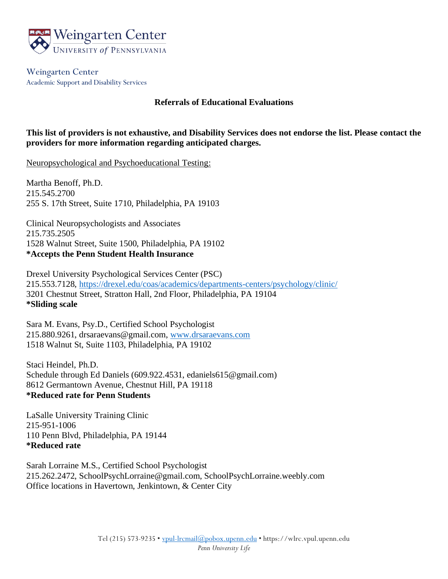

Weingarten Center Academic Support and Disability Services

## **Referrals of Educational Evaluations**

## **This list of providers is not exhaustive, and Disability Services does not endorse the list. Please contact the providers for more information regarding anticipated charges.**

Neuropsychological and Psychoeducational Testing:

Martha Benoff, Ph.D. 215.545.2700 255 S. 17th Street, Suite 1710, Philadelphia, PA 19103

Clinical Neuropsychologists and Associates 215.735.2505 1528 Walnut Street, Suite 1500, Philadelphia, PA 19102 **\*Accepts the Penn Student Health Insurance**

Drexel University Psychological Services Center (PSC) 215.553.7128,<https://drexel.edu/coas/academics/departments-centers/psychology/clinic/> 3201 Chestnut Street, Stratton Hall, 2nd Floor, Philadelphia, PA 19104 **\*Sliding scale**

Sara M. Evans, Psy.D., Certified School Psychologist 215.880.9261, drsaraevans@gmail.com, [www.drsaraevans.com](http://www.drsaraevans.com/) 1518 Walnut St, Suite 1103, Philadelphia, PA 19102

Staci Heindel, Ph.D. Schedule through Ed Daniels (609.922.4531, edaniels615@gmail.com) 8612 Germantown Avenue, Chestnut Hill, PA 19118 **\*Reduced rate for Penn Students**

LaSalle University Training Clinic 215-951-1006 110 Penn Blvd, Philadelphia, PA 19144 **\*Reduced rate**

Sarah Lorraine M.S., Certified School Psychologist 215.262.2472, SchoolPsychLorraine@gmail.com, SchoolPsychLorraine.weebly.com Office locations in Havertown, Jenkintown, & Center City